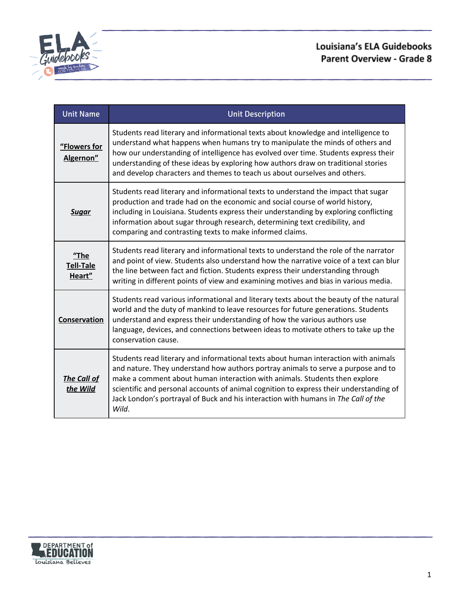

| <b>Unit Name</b>                      | <b>Unit Description</b>                                                                                                                                                                                                                                                                                                                                                                                                                         |
|---------------------------------------|-------------------------------------------------------------------------------------------------------------------------------------------------------------------------------------------------------------------------------------------------------------------------------------------------------------------------------------------------------------------------------------------------------------------------------------------------|
| "Flowers for<br>Algernon"             | Students read literary and informational texts about knowledge and intelligence to<br>understand what happens when humans try to manipulate the minds of others and<br>how our understanding of intelligence has evolved over time. Students express their<br>understanding of these ideas by exploring how authors draw on traditional stories<br>and develop characters and themes to teach us about ourselves and others.                    |
| <u>Sugar</u>                          | Students read literary and informational texts to understand the impact that sugar<br>production and trade had on the economic and social course of world history,<br>including in Louisiana. Students express their understanding by exploring conflicting<br>information about sugar through research, determining text credibility, and<br>comparing and contrasting texts to make informed claims.                                          |
| $"$ The<br><b>Tell-Tale</b><br>Heart" | Students read literary and informational texts to understand the role of the narrator<br>and point of view. Students also understand how the narrative voice of a text can blur<br>the line between fact and fiction. Students express their understanding through<br>writing in different points of view and examining motives and bias in various media.                                                                                      |
| Conservation                          | Students read various informational and literary texts about the beauty of the natural<br>world and the duty of mankind to leave resources for future generations. Students<br>understand and express their understanding of how the various authors use<br>language, devices, and connections between ideas to motivate others to take up the<br>conservation cause.                                                                           |
| <b>The Call of</b><br>the Wild        | Students read literary and informational texts about human interaction with animals<br>and nature. They understand how authors portray animals to serve a purpose and to<br>make a comment about human interaction with animals. Students then explore<br>scientific and personal accounts of animal cognition to express their understanding of<br>Jack London's portrayal of Buck and his interaction with humans in The Call of the<br>Wild. |

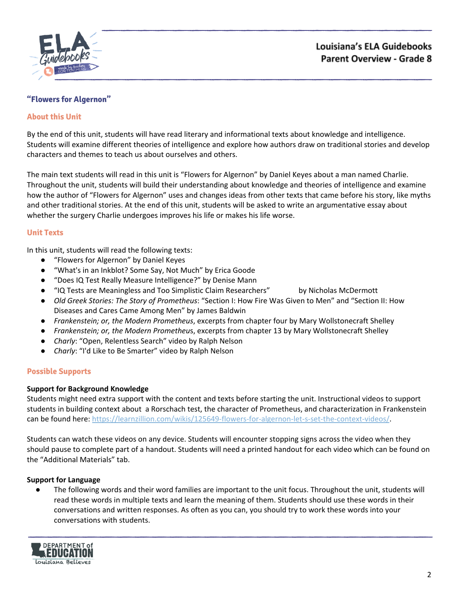

## <span id="page-1-0"></span>**"Flowers for Algernon"**

### **About this Unit**

By the end of this unit, students will have read literary and informational texts about knowledge and intelligence. Students will examine different theories of intelligence and explore how authors draw on traditional stories and develop characters and themes to teach us about ourselves and others.

The main text students will read in this unit is "Flowers for Algernon" by Daniel Keyes about a man named Charlie. Throughout the unit, students will build their understanding about knowledge and theories of intelligence and examine how the author of "Flowers for Algernon" uses and changes ideas from other texts that came before his story, like myths and other traditional stories. At the end of this unit, students will be asked to write an argumentative essay about whether the surgery Charlie undergoes improves his life or makes his life worse.

### **Unit Texts**

In this unit, students will read the following texts:

- "Flowers for Algernon" by Daniel Keyes
- "What's in an Inkblot? Some Say, Not Much" by Erica Goode
- "Does IQ Test Really Measure Intelligence?" by Denise Mann
- "IQ Tests are Meaningless and Too Simplistic Claim Researchers" by Nicholas McDermott
- *Old Greek Stories: The Story of Prometheus*: "Section I: How Fire Was Given to Men" and "Section II: How Diseases and Cares Came Among Men" by James Baldwin
- *Frankenstein; or, the Modern Prometheus*, excerpts from chapter four by Mary Wollstonecraft Shelley
- *Frankenstein; or, the Modern Prometheu*s, excerpts from chapter 13 by Mary Wollstonecraft Shelley
- *Charly*: "Open, Relentless Search" video by Ralph Nelson
- *Charly*: "I'd Like to Be Smarter" video by Ralph Nelson

### **Possible Supports**

### **Support for Background Knowledge**

Students might need extra support with the content and texts before starting the unit. Instructional videos to support students in building context about a Rorschach test, the character of Prometheus, and characterization in Frankenstein can be found here: [https://learnzillion.com/wikis/125649-flowers-for-algernon-let-s-set-the-context-videos/.](https://learnzillion.com/wikis/125649-flowers-for-algernon-let-s-set-the-context-videos/)

Students can watch these videos on any device. Students will encounter stopping signs across the video when they should pause to complete part of a handout. Students will need a printed handout for each video which can be found on the "Additional Materials" tab.

### **Support for Language**

The following words and their word families are important to the unit focus. Throughout the unit, students will read these words in multiple texts and learn the meaning of them. Students should use these words in their conversations and written responses. As often as you can, you should try to work these words into your conversations with students.

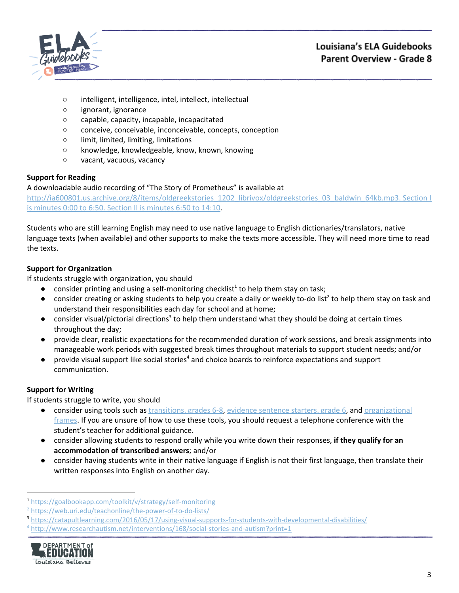

- intelligent, intelligence, intel, intellect, intellectual
- ignorant, ignorance
- capable, capacity, incapable, incapacitated
- conceive, conceivable, inconceivable, concepts, conception
- limit, limited, limiting, limitations
- knowledge, knowledgeable, know, known, knowing
- vacant, vacuous, vacancy

# **Support for Reading**

A downloadable audio recording of "The Story of Prometheus" is available at [http://ia600801.us.archive.org/8/items/oldgreekstories\\_1202\\_librivox/oldgreekstories\\_03\\_baldwin\\_64kb.mp3.](http://ia600801.us.archive.org/8/items/oldgreekstories_1202_librivox/oldgreekstories_03_baldwin_64kb.mp3.) Section I

is [minutes](http://ia600801.us.archive.org/8/items/oldgreekstories_1202_librivox/oldgreekstories_03_baldwin_64kb.mp3.) 0:00 to 6:50. Section II is minutes 6:50 to 14:10.

Students who are still learning English may need to use native language to English dictionaries/translators, native language texts (when available) and other supports to make the texts more accessible. They will need more time to read the texts.

# **Support for Organization**

If students struggle with organization, you should

- $\bullet$  consider printing and using a self-monitoring checklist<sup>1</sup> to help them stay on task;
- $\bullet$  consider creating or asking students to help you create a daily or weekly to-do list<sup>2</sup> to help them stay on task and understand their responsibilities each day for school and at home;
- $\bullet$  consider visual/pictorial directions<sup>3</sup> to help them understand what they should be doing at certain times throughout the day;
- provide clear, realistic expectations for the recommended duration of work sessions, and break assignments into manageable work periods with suggested break times throughout materials to support student needs; and/or
- $\bullet$  provide visual support like social stories<sup>4</sup> and choice boards to reinforce expectations and support communication.

# **Support for Writing**

- consider using tools such as [transitions,](https://learnzillion.com/resources/157893/) grades 6-8, evidence [sentence](https://learnzillion.com/resources/157866/) starters, grade 6, and [organizational](https://learnzillion.com/resources/116858/) [frames](https://learnzillion.com/resources/116858/). If you are unsure of how to use these tools, you should request a telephone conference with the student's teacher for additional guidance.
- consider allowing students to respond orally while you write down their responses, **if they qualify for an accommodation of transcribed answers**; and/or
- **●** consider having students write in their native language if English is not their first language, then translate their written responses into English on another day.

<sup>4</sup> <http://www.researchautism.net/interventions/168/social-stories-and-autism?print=1>



<sup>1</sup> <https://goalbookapp.com/toolkit/v/strategy/self-monitoring>

<sup>&</sup>lt;sup>2</sup> <https://web.uri.edu/teachonline/the-power-of-to-do-lists/>

<sup>3</sup> <https://catapultlearning.com/2016/05/17/using-visual-supports-for-students-with-developmental-disabilities/>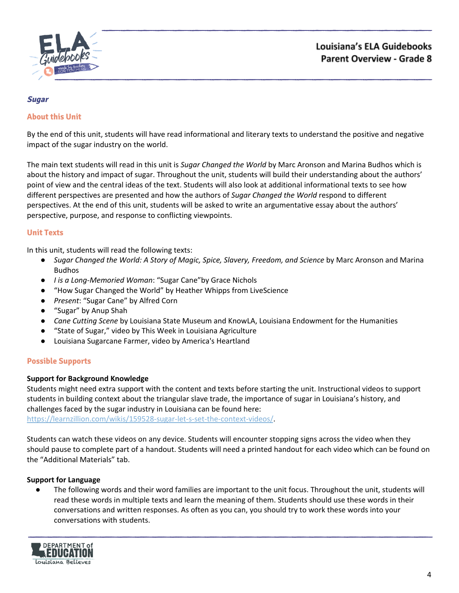

#### <span id="page-3-0"></span>**Sugar**

### **About this Unit**

By the end of this unit, students will have read informational and literary texts to understand the positive and negative impact of the sugar industry on the world.

The main text students will read in this unit is *Sugar Changed the World* by Marc Aronson and Marina Budhos which is about the history and impact of sugar. Throughout the unit, students will build their understanding about the authors' point of view and the central ideas of the text. Students will also look at additional informational texts to see how different perspectives are presented and how the authors of *Sugar Changed the World* respond to different perspectives. At the end of this unit, students will be asked to write an argumentative essay about the authors' perspective, purpose, and response to conflicting viewpoints.

### **Unit Texts**

In this unit, students will read the following texts:

- *Sugar Changed the World: A Story of Magic, Spice, Slavery, Freedom, and Science* by Marc Aronson and Marina Budhos
- *I is a Long-Memoried Woman*: "Sugar Cane"by Grace Nichols
- "How Sugar Changed the World" by Heather Whipps from LiveScience
- *Present*: "Sugar Cane" by Alfred Corn
- "Sugar" by Anup Shah
- *Cane Cutting Scene* by Louisiana State Museum and KnowLA, Louisiana Endowment for the Humanities
- "State of Sugar," video by This Week in Louisiana Agriculture
- Louisiana Sugarcane Farmer, video by America's Heartland

### **Possible Supports**

### **Support for Background Knowledge**

Students might need extra support with the content and texts before starting the unit. Instructional videos to support students in building context about the triangular slave trade, the importance of sugar in Louisiana's history, and challenges faced by the sugar industry in Louisiana can be found here:

<https://learnzillion.com/wikis/159528-sugar-let-s-set-the-context-videos/>.

Students can watch these videos on any device. Students will encounter stopping signs across the video when they should pause to complete part of a handout. Students will need a printed handout for each video which can be found on the "Additional Materials" tab.

### **Support for Language**

The following words and their word families are important to the unit focus. Throughout the unit, students will read these words in multiple texts and learn the meaning of them. Students should use these words in their conversations and written responses. As often as you can, you should try to work these words into your conversations with students.

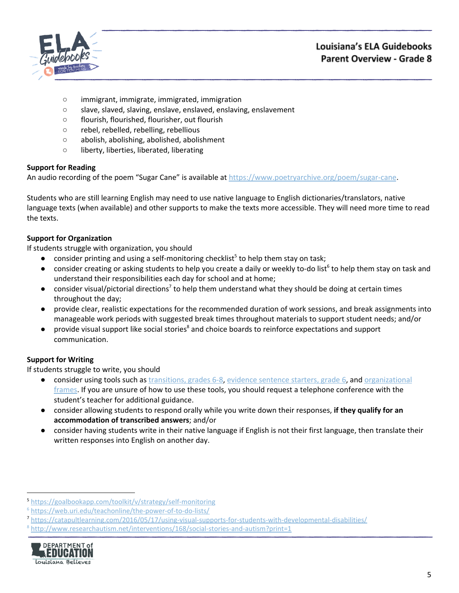

- immigrant, immigrate, immigrated, immigration
- slave, slaved, slaving, enslave, enslaved, enslaving, enslavement
- flourish, flourished, flourisher, out flourish
- rebel, rebelled, rebelling, rebellious
- abolish, abolishing, abolished, abolishment
- liberty, liberties, liberated, liberating

## **Support for Reading**

An audio recording of the poem "Sugar Cane" is available at <https://www.poetryarchive.org/poem/sugar-cane>.

Students who are still learning English may need to use native language to English dictionaries/translators, native language texts (when available) and other supports to make the texts more accessible. They will need more time to read the texts.

# **Support for Organization**

If students struggle with organization, you should

- $\bullet$  consider printing and using a self-monitoring checklist<sup>5</sup> to help them stay on task;
- $\bullet$  consider creating or asking students to help you create a daily or weekly to-do list<sup>6</sup> to help them stay on task and understand their responsibilities each day for school and at home;
- $\bullet$  consider visual/pictorial directions<sup>7</sup> to help them understand what they should be doing at certain times throughout the day;
- provide clear, realistic expectations for the recommended duration of work sessions, and break assignments into manageable work periods with suggested break times throughout materials to support student needs; and/or
- provide visual support like social stories<sup>8</sup> and choice boards to reinforce expectations and support communication.

# **Support for Writing**

- consider using tools such as [transitions,](https://learnzillion.com/resources/157893/) grades 6-8, evidence [sentence](https://learnzillion.com/resources/157866/) starters, grade 6, and [organizational](https://learnzillion.com/resources/116858/) [frames](https://learnzillion.com/resources/116858/). If you are unsure of how to use these tools, you should request a telephone conference with the student's teacher for additional guidance.
- consider allowing students to respond orally while you write down their responses, **if they qualify for an accommodation of transcribed answers**; and/or
- **●** consider having students write in their native language if English is not their first language, then translate their written responses into English on another day.

<sup>8</sup> <http://www.researchautism.net/interventions/168/social-stories-and-autism?print=1>



<sup>5</sup> <https://goalbookapp.com/toolkit/v/strategy/self-monitoring>

<sup>6</sup> <https://web.uri.edu/teachonline/the-power-of-to-do-lists/>

<sup>7</sup> <https://catapultlearning.com/2016/05/17/using-visual-supports-for-students-with-developmental-disabilities/>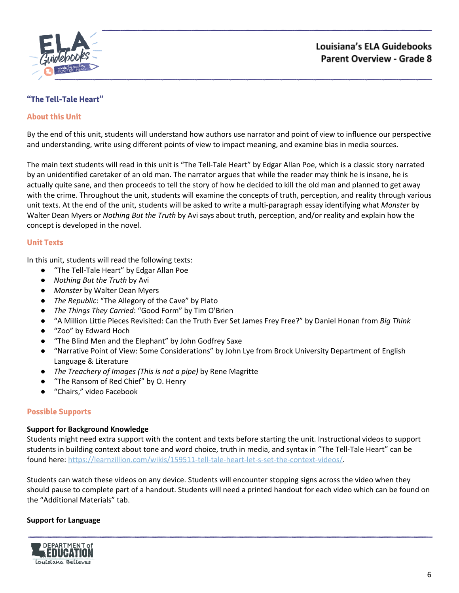

# <span id="page-5-0"></span>**"The Tell-Tale Heart"**

### **About this Unit**

By the end of this unit, students will understand how authors use narrator and point of view to influence our perspective and understanding, write using different points of view to impact meaning, and examine bias in media sources.

The main text students will read in this unit is "The Tell-Tale Heart" by Edgar Allan Poe, which is a classic story narrated by an unidentified caretaker of an old man. The narrator argues that while the reader may think he is insane, he is actually quite sane, and then proceeds to tell the story of how he decided to kill the old man and planned to get away with the crime. Throughout the unit, students will examine the concepts of truth, perception, and reality through various unit texts. At the end of the unit, students will be asked to write a multi-paragraph essay identifying what *Monster* by Walter Dean Myers or *Nothing But the Truth* by Avi says about truth, perception, and/or reality and explain how the concept is developed in the novel.

### **Unit Texts**

In this unit, students will read the following texts:

- "The Tell-Tale Heart" by Edgar Allan Poe
- *Nothing But the Truth* by Avi
- *Monster* by Walter Dean Myers
- *The Republic*: "The Allegory of the Cave" by Plato
- *The Things They Carried*: "Good Form" by Tim O'Brien
- "A Million Little Pieces Revisited: Can the Truth Ever Set James Frey Free?" by Daniel Honan from *Big Think*
- "Zoo" by Edward Hoch
- "The Blind Men and the Elephant" by John Godfrey Saxe
- "Narrative Point of View: Some Considerations" by John Lye from Brock University Department of English Language & Literature
- *The Treachery of Images (This is not a pipe)* by Rene Magritte
- "The Ransom of Red Chief" by O. Henry
- "Chairs," video Facebook

### **Possible Supports**

### **Support for Background Knowledge**

Students might need extra support with the content and texts before starting the unit. Instructional videos to support students in building context about tone and word choice, truth in media, and syntax in "The Tell-Tale Heart" can be found here: [https://learnzillion.com/wikis/159511-tell-tale-heart-let-s-set-the-context-videos/.](https://learnzillion.com/wikis/159511-tell-tale-heart-let-s-set-the-context-videos/)

Students can watch these videos on any device. Students will encounter stopping signs across the video when they should pause to complete part of a handout. Students will need a printed handout for each video which can be found on the "Additional Materials" tab.

### **Support for Language**

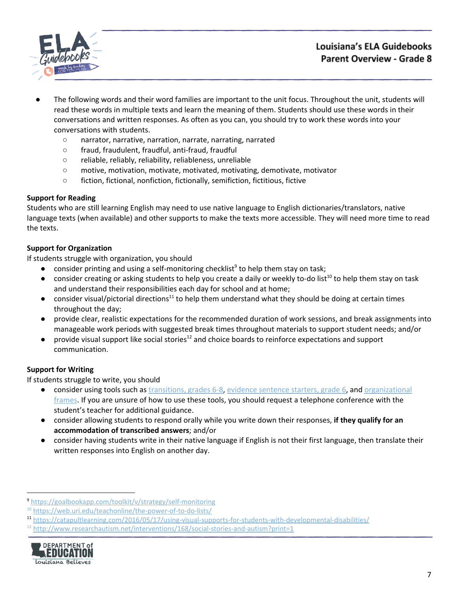

- The following words and their word families are important to the unit focus. Throughout the unit, students will read these words in multiple texts and learn the meaning of them. Students should use these words in their conversations and written responses. As often as you can, you should try to work these words into your conversations with students.
	- narrator, narrative, narration, narrate, narrating, narrated
	- fraud, fraudulent, fraudful, anti-fraud, fraudful
	- reliable, reliably, reliability, reliableness, unreliable
	- motive, motivation, motivate, motivated, motivating, demotivate, motivator
	- fiction, fictional, nonfiction, fictionally, semifiction, fictitious, fictive

## **Support for Reading**

Students who are still learning English may need to use native language to English dictionaries/translators, native language texts (when available) and other supports to make the texts more accessible. They will need more time to read the texts.

# **Support for Organization**

If students struggle with organization, you should

- $\bullet$  consider printing and using a self-monitoring checklist<sup>9</sup> to help them stay on task;
- $\bullet$  consider creating or asking students to help you create a daily or weekly to-do list<sup>10</sup> to help them stay on task and understand their responsibilities each day for school and at home;
- consider visual/pictorial directions<sup>11</sup> to help them understand what they should be doing at certain times throughout the day;
- provide clear, realistic expectations for the recommended duration of work sessions, and break assignments into manageable work periods with suggested break times throughout materials to support student needs; and/or
- $\bullet$  provide visual support like social stories<sup>12</sup> and choice boards to reinforce expectations and support communication.

## **Support for Writing**

- consider using tools such as [transitions,](https://learnzillion.com/resources/157893/) grades 6-8, evidence [sentence](https://learnzillion.com/resources/157866/) starters, grade 6, and [organizational](https://learnzillion.com/resources/116858/) [frames](https://learnzillion.com/resources/116858/). If you are unsure of how to use these tools, you should request a telephone conference with the student's teacher for additional guidance.
- consider allowing students to respond orally while you write down their responses, **if they qualify for an accommodation of transcribed answers**; and/or
- **●** consider having students write in their native language if English is not their first language, then translate their written responses into English on another day.

 $12$  <http://www.researchautism.net/interventions/168/social-stories-and-autism?print=1>



<sup>9</sup> <https://goalbookapp.com/toolkit/v/strategy/self-monitoring>

<sup>&</sup>lt;sup>10</sup> <https://web.uri.edu/teachonline/the-power-of-to-do-lists/>

<sup>11</sup> <https://catapultlearning.com/2016/05/17/using-visual-supports-for-students-with-developmental-disabilities/>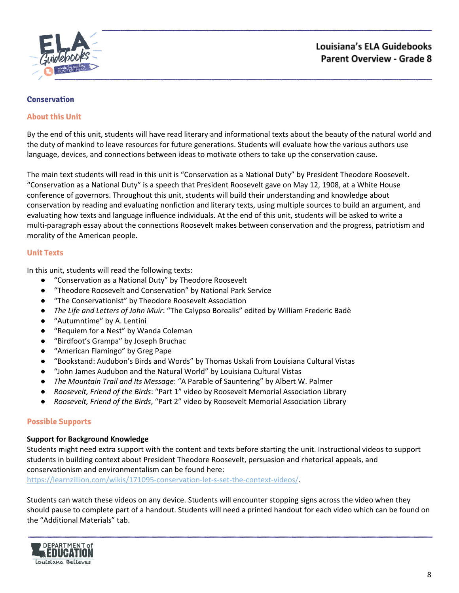

### <span id="page-7-0"></span>**Conservation**

### **About this Unit**

By the end of this unit, students will have read literary and informational texts about the beauty of the natural world and the duty of mankind to leave resources for future generations. Students will evaluate how the various authors use language, devices, and connections between ideas to motivate others to take up the conservation cause.

The main text students will read in this unit is "Conservation as a National Duty" by President Theodore Roosevelt. "Conservation as a National Duty" is a speech that President Roosevelt gave on May 12, 1908, at a White House conference of governors. Throughout this unit, students will build their understanding and knowledge about conservation by reading and evaluating nonfiction and literary texts, using multiple sources to build an argument, and evaluating how texts and language influence individuals. At the end of this unit, students will be asked to write a multi-paragraph essay about the connections Roosevelt makes between conservation and the progress, patriotism and morality of the American people.

### **Unit Texts**

In this unit, students will read the following texts:

- "Conservation as a National Duty" by Theodore Roosevelt
- "Theodore Roosevelt and Conservation" by National Park Service
- "The Conservationist" by Theodore Roosevelt Association
- *The Life and Letters of John Muir*: "The Calypso Borealis" edited by William Frederic Badè
- "Autumntime" by A. Lentini
- "Requiem for a Nest" by Wanda Coleman
- "Birdfoot's Grampa" by Joseph Bruchac
- "American Flamingo" by Greg Pape
- "Bookstand: Audubon's Birds and Words" by Thomas Uskali from Louisiana Cultural Vistas
- "John James Audubon and the Natural World" by Louisiana Cultural Vistas
- *The Mountain Trail and Its Message*: "A Parable of Sauntering" by Albert W. Palmer
- *Roosevelt, Friend of the Birds*: "Part 1" video by Roosevelt Memorial Association Library
- *Roosevelt, Friend of the Birds*, "Part 2" video by Roosevelt Memorial Association Library

### **Possible Supports**

### **Support for Background Knowledge**

Students might need extra support with the content and texts before starting the unit. Instructional videos to support students in building context about President Theodore Roosevelt, persuasion and rhetorical appeals, and conservationism and environmentalism can be found here:

<https://learnzillion.com/wikis/171095-conservation-let-s-set-the-context-videos/>.

Students can watch these videos on any device. Students will encounter stopping signs across the video when they should pause to complete part of a handout. Students will need a printed handout for each video which can be found on the "Additional Materials" tab.

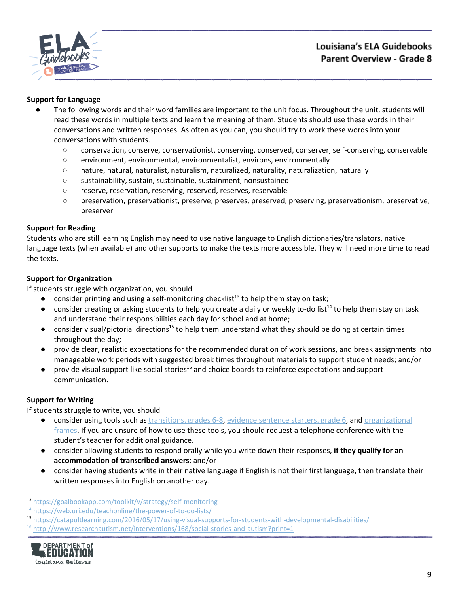

### **Support for Language**

- The following words and their word families are important to the unit focus. Throughout the unit, students will read these words in multiple texts and learn the meaning of them. Students should use these words in their conversations and written responses. As often as you can, you should try to work these words into your conversations with students.
	- conservation, conserve, conservationist, conserving, conserved, conserver, self-conserving, conservable
	- environment, environmental, environmentalist, environs, environmentally
	- nature, natural, naturalist, naturalism, naturalized, naturality, naturalization, naturally
	- sustainability, sustain, sustainable, sustainment, nonsustained
	- reserve, reservation, reserving, reserved, reserves, reservable
	- preservation, preservationist, preserve, preserves, preserved, preserving, preservationism, preservative, preserver

### **Support for Reading**

Students who are still learning English may need to use native language to English dictionaries/translators, native language texts (when available) and other supports to make the texts more accessible. They will need more time to read the texts.

### **Support for Organization**

If students struggle with organization, you should

- $\bullet$  consider printing and using a self-monitoring checklist<sup>13</sup> to help them stay on task;
- $\bullet$  consider creating or asking students to help you create a daily or weekly to-do list<sup>14</sup> to help them stay on task and understand their responsibilities each day for school and at home;
- $\bullet$  consider visual/pictorial directions<sup>15</sup> to help them understand what they should be doing at certain times throughout the day;
- provide clear, realistic expectations for the recommended duration of work sessions, and break assignments into manageable work periods with suggested break times throughout materials to support student needs; and/or
- $\bullet$  provide visual support like social stories<sup>16</sup> and choice boards to reinforce expectations and support communication.

## **Support for Writing**

- consider using tools such as [transitions,](https://learnzillion.com/resources/157893/) grades 6-8, evidence [sentence](https://learnzillion.com/resources/157866/) starters, grade 6, and [organizational](https://learnzillion.com/resources/116858/) [frames](https://learnzillion.com/resources/116858/). If you are unsure of how to use these tools, you should request a telephone conference with the student's teacher for additional guidance.
- consider allowing students to respond orally while you write down their responses, **if they qualify for an accommodation of transcribed answers**; and/or
- **●** consider having students write in their native language if English is not their first language, then translate their written responses into English on another day.

 $16$  <http://www.researchautism.net/interventions/168/social-stories-and-autism?print=1>



<sup>13</sup> <https://goalbookapp.com/toolkit/v/strategy/self-monitoring>

<sup>&</sup>lt;sup>14</sup> <https://web.uri.edu/teachonline/the-power-of-to-do-lists/>

<sup>15</sup> <https://catapultlearning.com/2016/05/17/using-visual-supports-for-students-with-developmental-disabilities/>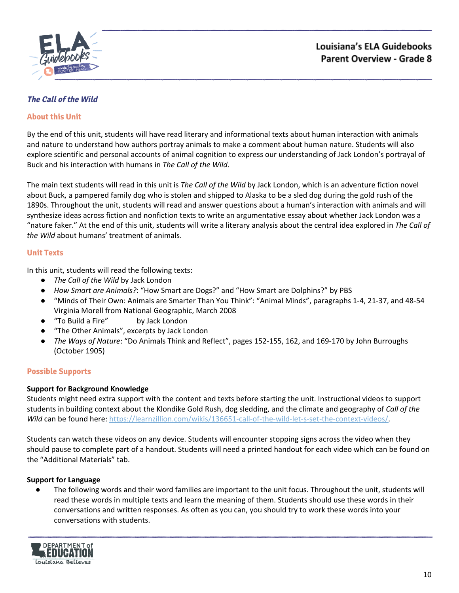

# <span id="page-9-0"></span>**The Call of the Wild**

## **About this Unit**

By the end of this unit, students will have read literary and informational texts about human interaction with animals and nature to understand how authors portray animals to make a comment about human nature. Students will also explore scientific and personal accounts of animal cognition to express our understanding of Jack London's portrayal of Buck and his interaction with humans in *The Call of the Wild*.

The main text students will read in this unit is *The Call of the Wild* by Jack London, which is an adventure fiction novel about Buck, a pampered family dog who is stolen and shipped to Alaska to be a sled dog during the gold rush of the 1890s. Throughout the unit, students will read and answer questions about a human's interaction with animals and will synthesize ideas across fiction and nonfiction texts to write an argumentative essay about whether Jack London was a "nature faker." At the end of this unit, students will write a literary analysis about the central idea explored in *The Call of the Wild* about humans' treatment of animals.

## **Unit Texts**

In this unit, students will read the following texts:

- *The Call of the Wild* by Jack London
- *How Smart are Animals?*: "How Smart are Dogs?" and "How Smart are Dolphins?" by PBS
- "Minds of Their Own: Animals are Smarter Than You Think": "Animal Minds", paragraphs 1-4, 21-37, and 48-54 Virginia Morell from National Geographic, March 2008
- "To Build a Fire" by Jack London
- "The Other Animals", excerpts by Jack London
- *The Ways of Nature*: "Do Animals Think and Reflect", pages 152-155, 162, and 169-170 by John Burroughs (October 1905)

## **Possible Supports**

## **Support for Background Knowledge**

Students might need extra support with the content and texts before starting the unit. Instructional videos to support students in building context about the Klondike Gold Rush, dog sledding, and the climate and geography of *Call of the Wild* can be found here: <https://learnzillion.com/wikis/136651-call-of-the-wild-let-s-set-the-context-videos/>.

Students can watch these videos on any device. Students will encounter stopping signs across the video when they should pause to complete part of a handout. Students will need a printed handout for each video which can be found on the "Additional Materials" tab.

## **Support for Language**

The following words and their word families are important to the unit focus. Throughout the unit, students will read these words in multiple texts and learn the meaning of them. Students should use these words in their conversations and written responses. As often as you can, you should try to work these words into your conversations with students.